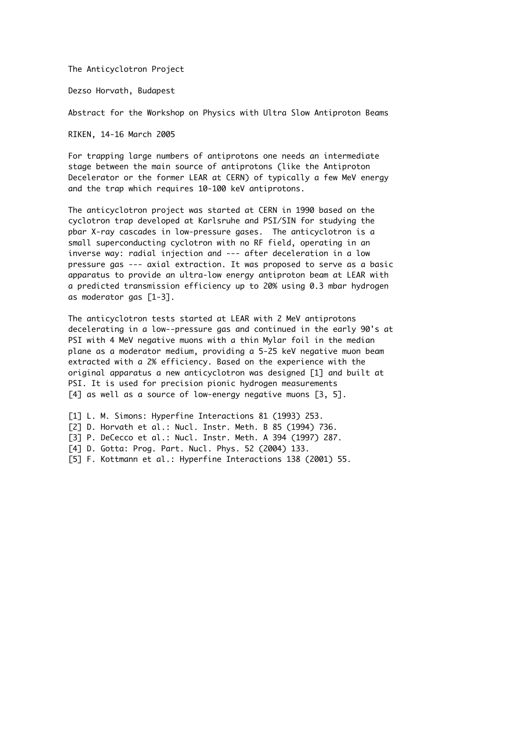The Anticyclotron Project

Dezso Horvath, Budapest

Abstract for the Workshop on Physics with Ultra Slow Antiproton Beams

RIKEN, 14-16 March 2005

For trapping large numbers of antiprotons one needs an intermediate stage between the main source of antiprotons (like the Antiproton Decelerator or the former LEAR at CERN) of typically a few MeV energy and the trap which requires 10-100 keV antiprotons.

The anticyclotron project was started at CERN in 1990 based on the cyclotron trap developed at Karlsruhe and PSI/SIN for studying the pbar X-ray cascades in low-pressure gases. The anticyclotron is a small superconducting cyclotron with no RF field, operating in an inverse way: radial injection and --- after deceleration in a low pressure gas --- axial extraction. It was proposed to serve as a basic apparatus to provide an ultra-low energy antiproton beam at LEAR with a predicted transmission efficiency up to 20% using 0.3 mbar hydrogen as moderator gas [1-3].

The anticyclotron tests started at LEAR with 2 MeV antiprotons decelerating in a low--pressure gas and continued in the early 90's at PSI with 4 MeV negative muons with a thin Mylar foil in the median plane as a moderator medium, providing a 5-25 keV negative muon beam extracted with a 2% efficiency. Based on the experience with the original apparatus a new anticyclotron was designed [1] and built at PSI. It is used for precision pionic hydrogen measurements [4] as well as a source of low-energy negative muons [3, 5].

[1] L. M. Simons: Hyperfine Interactions 81 (1993) 253. [2] D. Horvath et al.: Nucl. Instr. Meth. B 85 (1994) 736. [3] P. DeCecco et al.: Nucl. Instr. Meth. A 394 (1997) 287. [4] D. Gotta: Prog. Part. Nucl. Phys. 52 (2004) 133. [5] F. Kottmann et al.: Hyperfine Interactions 138 (2001) 55.